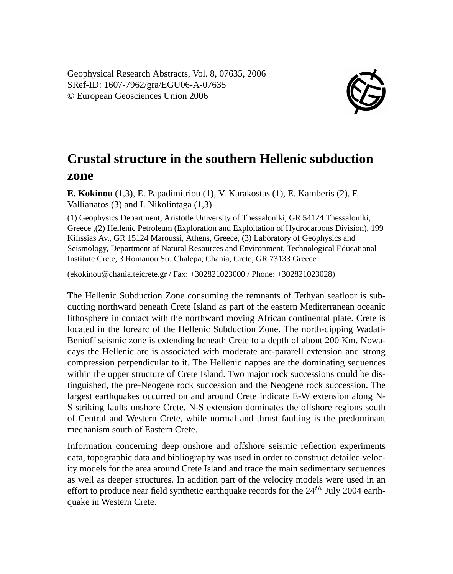Geophysical Research Abstracts, Vol. 8, 07635, 2006 SRef-ID: 1607-7962/gra/EGU06-A-07635 © European Geosciences Union 2006



## **Crustal structure in the southern Hellenic subduction zone**

**E. Kokinou** (1,3), E. Papadimitriou (1), V. Karakostas (1), E. Kamberis (2), F. Vallianatos (3) and I. Nikolintaga (1,3)

(1) Geophysics Department, Aristotle University of Thessaloniki, GR 54124 Thessaloniki, Greece ,(2) Hellenic Petroleum (Exploration and Exploitation of Hydrocarbons Division), 199 Kifissias Av., GR 15124 Maroussi, Athens, Greece, (3) Laboratory of Geophysics and Seismology, Department of Natural Resources and Environment, Technological Educational Institute Crete, 3 Romanou Str. Chalepa, Chania, Crete, GR 73133 Greece

(ekokinou@chania.teicrete.gr / Fax: +302821023000 / Phone: +302821023028)

The Hellenic Subduction Zone consuming the remnants of Tethyan seafloor is subducting northward beneath Crete Island as part of the eastern Mediterranean oceanic lithosphere in contact with the northward moving African continental plate. Crete is located in the forearc of the Hellenic Subduction Zone. The north-dipping Wadati-Benioff seismic zone is extending beneath Crete to a depth of about 200 Km. Nowadays the Hellenic arc is associated with moderate arc-pararell extension and strong compression perpendicular to it. The Hellenic nappes are the dominating sequences within the upper structure of Crete Island. Two major rock successions could be distinguished, the pre-Neogene rock succession and the Neogene rock succession. The largest earthquakes occurred on and around Crete indicate E-W extension along N-S striking faults onshore Crete. N-S extension dominates the offshore regions south of Central and Western Crete, while normal and thrust faulting is the predominant mechanism south of Eastern Crete.

Information concerning deep onshore and offshore seismic reflection experiments data, topographic data and bibliography was used in order to construct detailed velocity models for the area around Crete Island and trace the main sedimentary sequences as well as deeper structures. In addition part of the velocity models were used in an effort to produce near field synthetic earthquake records for the  $24<sup>th</sup>$  July 2004 earthquake in Western Crete.